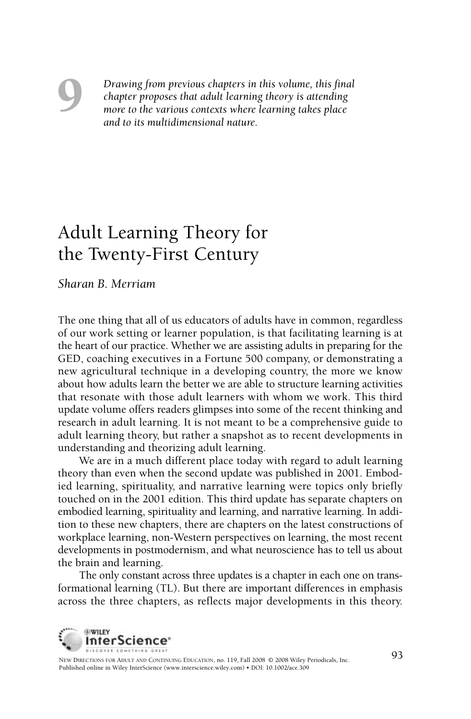

*Drawing from previous chapters in this volume, this final chapter proposes that adult learning theory is attending more to the various contexts where learning takes place and to its multidimensional nature.*

# Adult Learning Theory for the Twenty-First Century

*Sharan B. Merriam*

The one thing that all of us educators of adults have in common, regardless of our work setting or learner population, is that facilitating learning is at the heart of our practice. Whether we are assisting adults in preparing for the GED, coaching executives in a Fortune 500 company, or demonstrating a new agricultural technique in a developing country, the more we know about how adults learn the better we are able to structure learning activities that resonate with those adult learners with whom we work. This third update volume offers readers glimpses into some of the recent thinking and research in adult learning. It is not meant to be a comprehensive guide to adult learning theory, but rather a snapshot as to recent developments in understanding and theorizing adult learning.

We are in a much different place today with regard to adult learning theory than even when the second update was published in 2001. Embodied learning, spirituality, and narrative learning were topics only briefly touched on in the 2001 edition. This third update has separate chapters on embodied learning, spirituality and learning, and narrative learning. In addition to these new chapters, there are chapters on the latest constructions of workplace learning, non-Western perspectives on learning, the most recent developments in postmodernism, and what neuroscience has to tell us about the brain and learning.

The only constant across three updates is a chapter in each one on transformational learning (TL). But there are important differences in emphasis across the three chapters, as reflects major developments in this theory.



NEW DIRECTIONS FOR ADULT AND CONTINUING EDUCATION, no. 119, Fall 2008 © 2008 Wiley Periodicals, Inc. Published online in Wiley InterScience (www.interscience.wiley.com) • DOI: 10.1002/ace.309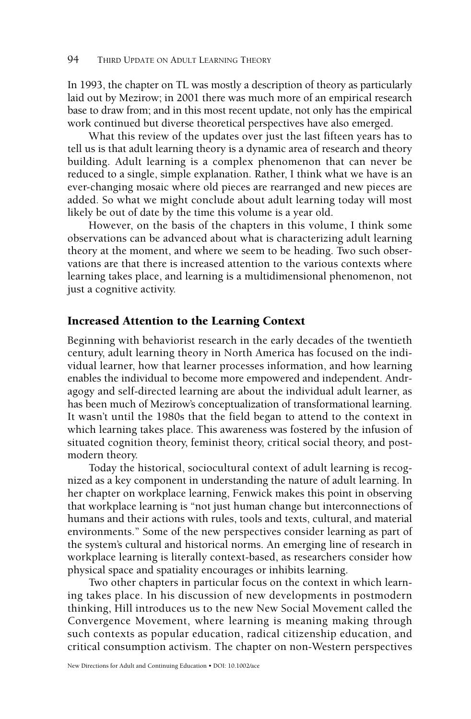In 1993, the chapter on TL was mostly a description of theory as particularly laid out by Mezirow; in 2001 there was much more of an empirical research base to draw from; and in this most recent update, not only has the empirical work continued but diverse theoretical perspectives have also emerged.

What this review of the updates over just the last fifteen years has to tell us is that adult learning theory is a dynamic area of research and theory building. Adult learning is a complex phenomenon that can never be reduced to a single, simple explanation. Rather, I think what we have is an ever-changing mosaic where old pieces are rearranged and new pieces are added. So what we might conclude about adult learning today will most likely be out of date by the time this volume is a year old.

However, on the basis of the chapters in this volume, I think some observations can be advanced about what is characterizing adult learning theory at the moment, and where we seem to be heading. Two such observations are that there is increased attention to the various contexts where learning takes place, and learning is a multidimensional phenomenon, not just a cognitive activity.

#### Increased Attention to the Learning Context

Beginning with behaviorist research in the early decades of the twentieth century, adult learning theory in North America has focused on the individual learner, how that learner processes information, and how learning enables the individual to become more empowered and independent. Andragogy and self-directed learning are about the individual adult learner, as has been much of Mezirow's conceptualization of transformational learning. It wasn't until the 1980s that the field began to attend to the context in which learning takes place. This awareness was fostered by the infusion of situated cognition theory, feminist theory, critical social theory, and postmodern theory.

Today the historical, sociocultural context of adult learning is recognized as a key component in understanding the nature of adult learning. In her chapter on workplace learning, Fenwick makes this point in observing that workplace learning is "not just human change but interconnections of humans and their actions with rules, tools and texts, cultural, and material environments." Some of the new perspectives consider learning as part of the system's cultural and historical norms. An emerging line of research in workplace learning is literally context-based, as researchers consider how physical space and spatiality encourages or inhibits learning.

Two other chapters in particular focus on the context in which learning takes place. In his discussion of new developments in postmodern thinking, Hill introduces us to the new New Social Movement called the Convergence Movement, where learning is meaning making through such contexts as popular education, radical citizenship education, and critical consumption activism. The chapter on non-Western perspectives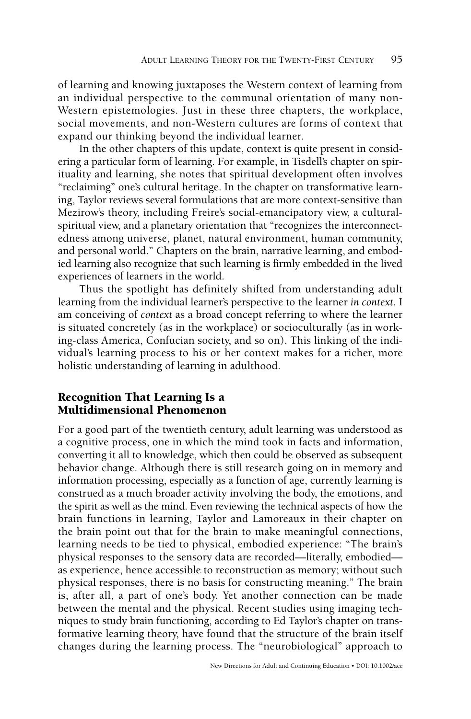of learning and knowing juxtaposes the Western context of learning from an individual perspective to the communal orientation of many non-Western epistemologies. Just in these three chapters, the workplace, social movements, and non-Western cultures are forms of context that expand our thinking beyond the individual learner.

In the other chapters of this update, context is quite present in considering a particular form of learning. For example, in Tisdell's chapter on spirituality and learning, she notes that spiritual development often involves "reclaiming" one's cultural heritage. In the chapter on transformative learning, Taylor reviews several formulations that are more context-sensitive than Mezirow's theory, including Freire's social-emancipatory view, a culturalspiritual view, and a planetary orientation that "recognizes the interconnectedness among universe, planet, natural environment, human community, and personal world." Chapters on the brain, narrative learning, and embodied learning also recognize that such learning is firmly embedded in the lived experiences of learners in the world.

Thus the spotlight has definitely shifted from understanding adult learning from the individual learner's perspective to the learner *in context*. I am conceiving of *context* as a broad concept referring to where the learner is situated concretely (as in the workplace) or socioculturally (as in working-class America, Confucian society, and so on). This linking of the individual's learning process to his or her context makes for a richer, more holistic understanding of learning in adulthood.

### Recognition That Learning Is a Multidimensional Phenomenon

For a good part of the twentieth century, adult learning was understood as a cognitive process, one in which the mind took in facts and information, converting it all to knowledge, which then could be observed as subsequent behavior change. Although there is still research going on in memory and information processing, especially as a function of age, currently learning is construed as a much broader activity involving the body, the emotions, and the spirit as well as the mind. Even reviewing the technical aspects of how the brain functions in learning, Taylor and Lamoreaux in their chapter on the brain point out that for the brain to make meaningful connections, learning needs to be tied to physical, embodied experience: "The brain's physical responses to the sensory data are recorded—literally, embodied as experience, hence accessible to reconstruction as memory; without such physical responses, there is no basis for constructing meaning." The brain is, after all, a part of one's body. Yet another connection can be made between the mental and the physical. Recent studies using imaging techniques to study brain functioning, according to Ed Taylor's chapter on transformative learning theory, have found that the structure of the brain itself changes during the learning process. The "neurobiological" approach to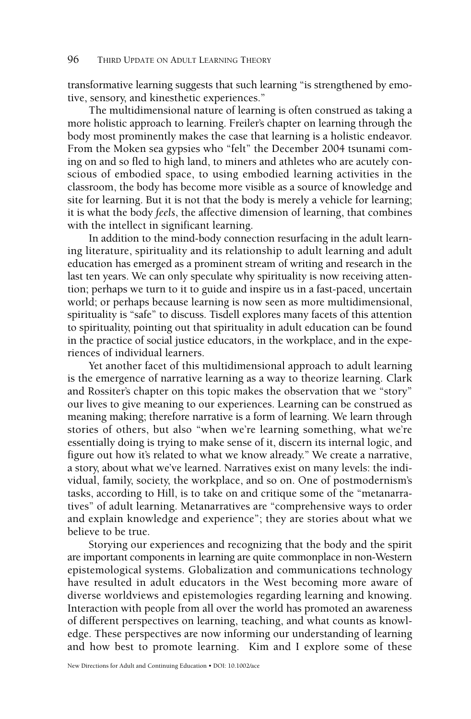transformative learning suggests that such learning "is strengthened by emotive, sensory, and kinesthetic experiences."

The multidimensional nature of learning is often construed as taking a more holistic approach to learning. Freiler's chapter on learning through the body most prominently makes the case that learning is a holistic endeavor. From the Moken sea gypsies who "felt" the December 2004 tsunami coming on and so fled to high land, to miners and athletes who are acutely conscious of embodied space, to using embodied learning activities in the classroom, the body has become more visible as a source of knowledge and site for learning. But it is not that the body is merely a vehicle for learning; it is what the body *feels*, the affective dimension of learning, that combines with the intellect in significant learning.

In addition to the mind-body connection resurfacing in the adult learning literature, spirituality and its relationship to adult learning and adult education has emerged as a prominent stream of writing and research in the last ten years. We can only speculate why spirituality is now receiving attention; perhaps we turn to it to guide and inspire us in a fast-paced, uncertain world; or perhaps because learning is now seen as more multidimensional, spirituality is "safe" to discuss. Tisdell explores many facets of this attention to spirituality, pointing out that spirituality in adult education can be found in the practice of social justice educators, in the workplace, and in the experiences of individual learners.

Yet another facet of this multidimensional approach to adult learning is the emergence of narrative learning as a way to theorize learning. Clark and Rossiter's chapter on this topic makes the observation that we "story" our lives to give meaning to our experiences. Learning can be construed as meaning making; therefore narrative is a form of learning. We learn through stories of others, but also "when we're learning something, what we're essentially doing is trying to make sense of it, discern its internal logic, and figure out how it's related to what we know already." We create a narrative, a story, about what we've learned. Narratives exist on many levels: the individual, family, society, the workplace, and so on. One of postmodernism's tasks, according to Hill, is to take on and critique some of the "metanarratives" of adult learning. Metanarratives are "comprehensive ways to order and explain knowledge and experience"; they are stories about what we believe to be true.

Storying our experiences and recognizing that the body and the spirit are important components in learning are quite commonplace in non-Western epistemological systems. Globalization and communications technology have resulted in adult educators in the West becoming more aware of diverse worldviews and epistemologies regarding learning and knowing. Interaction with people from all over the world has promoted an awareness of different perspectives on learning, teaching, and what counts as knowledge. These perspectives are now informing our understanding of learning and how best to promote learning. Kim and I explore some of these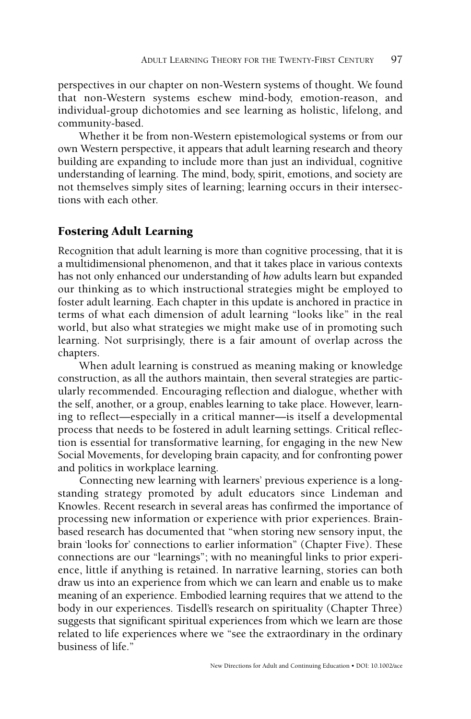perspectives in our chapter on non-Western systems of thought. We found that non-Western systems eschew mind-body, emotion-reason, and individual-group dichotomies and see learning as holistic, lifelong, and community-based.

Whether it be from non-Western epistemological systems or from our own Western perspective, it appears that adult learning research and theory building are expanding to include more than just an individual, cognitive understanding of learning. The mind, body, spirit, emotions, and society are not themselves simply sites of learning; learning occurs in their intersections with each other.

## Fostering Adult Learning

Recognition that adult learning is more than cognitive processing, that it is a multidimensional phenomenon, and that it takes place in various contexts has not only enhanced our understanding of *how* adults learn but expanded our thinking as to which instructional strategies might be employed to foster adult learning. Each chapter in this update is anchored in practice in terms of what each dimension of adult learning "looks like" in the real world, but also what strategies we might make use of in promoting such learning. Not surprisingly, there is a fair amount of overlap across the chapters.

When adult learning is construed as meaning making or knowledge construction, as all the authors maintain, then several strategies are particularly recommended. Encouraging reflection and dialogue, whether with the self, another, or a group, enables learning to take place. However, learning to reflect—especially in a critical manner—is itself a developmental process that needs to be fostered in adult learning settings. Critical reflection is essential for transformative learning, for engaging in the new New Social Movements, for developing brain capacity, and for confronting power and politics in workplace learning.

Connecting new learning with learners' previous experience is a longstanding strategy promoted by adult educators since Lindeman and Knowles. Recent research in several areas has confirmed the importance of processing new information or experience with prior experiences. Brainbased research has documented that "when storing new sensory input, the brain 'looks for' connections to earlier information" (Chapter Five). These connections are our "learnings"; with no meaningful links to prior experience, little if anything is retained. In narrative learning, stories can both draw us into an experience from which we can learn and enable us to make meaning of an experience. Embodied learning requires that we attend to the body in our experiences. Tisdell's research on spirituality (Chapter Three) suggests that significant spiritual experiences from which we learn are those related to life experiences where we "see the extraordinary in the ordinary business of life."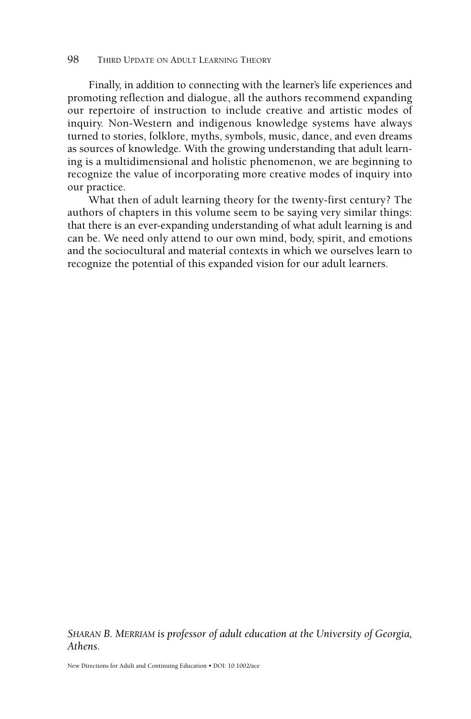#### 98 THIRD UPDATE ON ADULT LEARNING THEORY

Finally, in addition to connecting with the learner's life experiences and promoting reflection and dialogue, all the authors recommend expanding our repertoire of instruction to include creative and artistic modes of inquiry. Non-Western and indigenous knowledge systems have always turned to stories, folklore, myths, symbols, music, dance, and even dreams as sources of knowledge. With the growing understanding that adult learning is a multidimensional and holistic phenomenon, we are beginning to recognize the value of incorporating more creative modes of inquiry into our practice.

What then of adult learning theory for the twenty-first century? The authors of chapters in this volume seem to be saying very similar things: that there is an ever-expanding understanding of what adult learning is and can be. We need only attend to our own mind, body, spirit, and emotions and the sociocultural and material contexts in which we ourselves learn to recognize the potential of this expanded vision for our adult learners.

*SHARAN B. MERRIAM is professor of adult education at the University of Georgia, Athens.*

New Directions for Adult and Continuing Education • DOI: 10.1002/ace